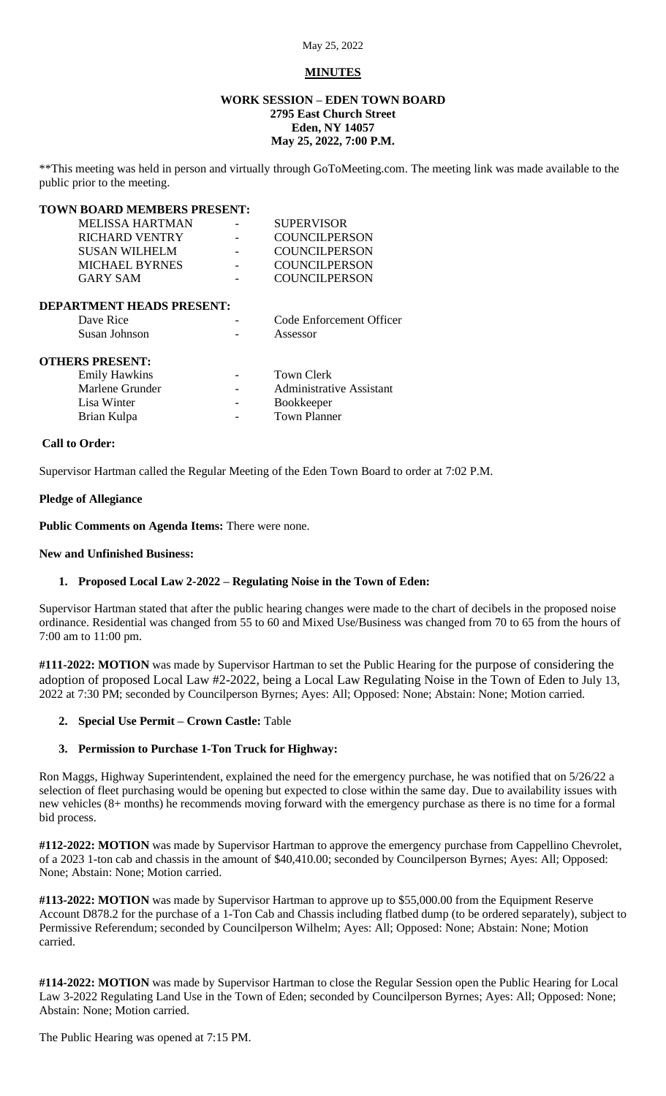### **MINUTES**

## **WORK SESSION – EDEN TOWN BOARD 2795 East Church Street Eden, NY 14057 May 25, 2022, 7:00 P.M.**

\*\*This meeting was held in person and virtually through GoToMeeting.com. The meeting link was made available to the public prior to the meeting.

### **TOWN BOARD MEMBERS PRESENT:**

| MELISSA HARTMAN | <b>SUPERVISOR</b>    |
|-----------------|----------------------|
| RICHARD VENTRY  | <b>COUNCILPERSON</b> |
| SUSAN WILHELM   | <b>COUNCILPERSON</b> |
| MICHAEL BYRNES  | <b>COUNCILPERSON</b> |
| GARY SAM        | <b>COUNCILPERSON</b> |
|                 |                      |

### **DEPARTMENT HEADS PRESENT:**

| Dave Rice              | Code Enforcement Officer |
|------------------------|--------------------------|
| Susan Johnson          | Assessor                 |
| <b>OTHERS PRESENT:</b> |                          |

| <b>Emily Hawkins</b> | $\overline{\phantom{0}}$ | Town Clerk                      |
|----------------------|--------------------------|---------------------------------|
| Marlene Grunder      | $\overline{\phantom{a}}$ | <b>Administrative Assistant</b> |
| Lisa Winter          | $\overline{\phantom{0}}$ | <b>Bookkeeper</b>               |
| Brian Kulpa          | $\overline{\phantom{a}}$ | Town Planner                    |

### **Call to Order:**

Supervisor Hartman called the Regular Meeting of the Eden Town Board to order at 7:02 P.M.

### **Pledge of Allegiance**

**Public Comments on Agenda Items:** There were none.

### **New and Unfinished Business:**

### **1. Proposed Local Law 2-2022 – Regulating Noise in the Town of Eden:**

Supervisor Hartman stated that after the public hearing changes were made to the chart of decibels in the proposed noise ordinance. Residential was changed from 55 to 60 and Mixed Use/Business was changed from 70 to 65 from the hours of 7:00 am to 11:00 pm.

**#111-2022: MOTION** was made by Supervisor Hartman to set the Public Hearing for the purpose of considering the adoption of proposed Local Law #2-2022, being a Local Law Regulating Noise in the Town of Eden to July 13, 2022 at 7:30 PM; seconded by Councilperson Byrnes; Ayes: All; Opposed: None; Abstain: None; Motion carried.

### **2. Special Use Permit – Crown Castle:** Table

### **3. Permission to Purchase 1-Ton Truck for Highway:**

Ron Maggs, Highway Superintendent, explained the need for the emergency purchase, he was notified that on 5/26/22 a selection of fleet purchasing would be opening but expected to close within the same day. Due to availability issues with new vehicles (8+ months) he recommends moving forward with the emergency purchase as there is no time for a formal bid process.

**#112-2022: MOTION** was made by Supervisor Hartman to approve the emergency purchase from Cappellino Chevrolet, of a 2023 1-ton cab and chassis in the amount of \$40,410.00; seconded by Councilperson Byrnes; Ayes: All; Opposed: None; Abstain: None; Motion carried.

**#113-2022: MOTION** was made by Supervisor Hartman to approve up to \$55,000.00 from the Equipment Reserve Account D878.2 for the purchase of a 1-Ton Cab and Chassis including flatbed dump (to be ordered separately), subject to Permissive Referendum; seconded by Councilperson Wilhelm; Ayes: All; Opposed: None; Abstain: None; Motion carried.

**#114-2022: MOTION** was made by Supervisor Hartman to close the Regular Session open the Public Hearing for Local Law 3-2022 Regulating Land Use in the Town of Eden; seconded by Councilperson Byrnes; Ayes: All; Opposed: None; Abstain: None; Motion carried.

The Public Hearing was opened at 7:15 PM.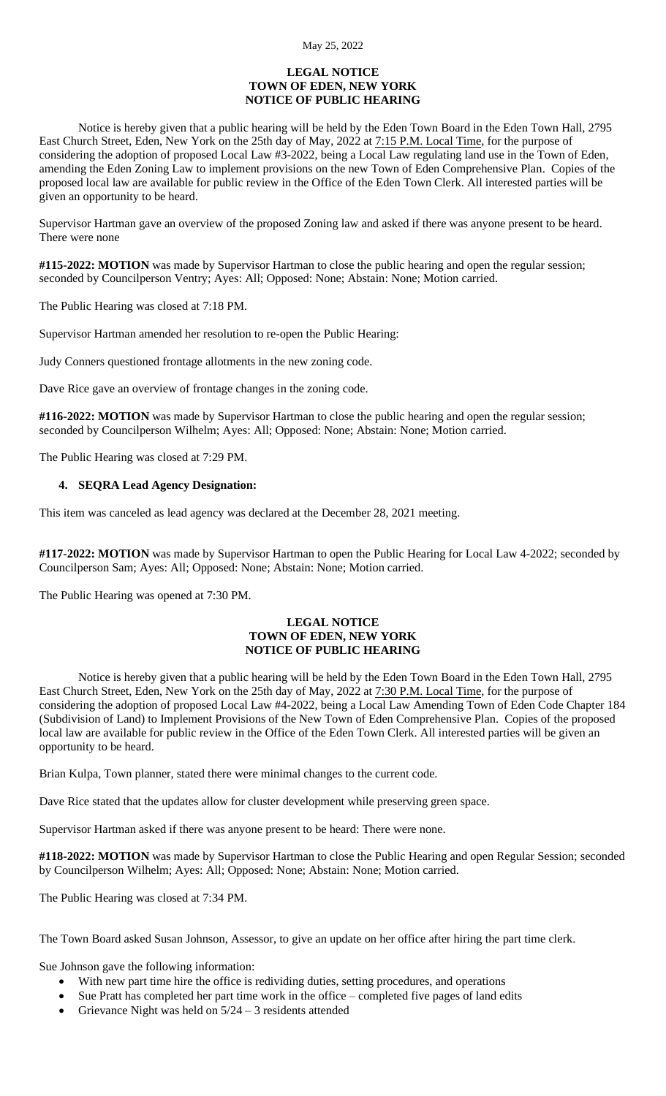### **LEGAL NOTICE TOWN OF EDEN, NEW YORK NOTICE OF PUBLIC HEARING**

Notice is hereby given that a public hearing will be held by the Eden Town Board in the Eden Town Hall, 2795 East Church Street, Eden, New York on the 25th day of May, 2022 at 7:15 P.M. Local Time, for the purpose of considering the adoption of proposed Local Law #3-2022, being a Local Law regulating land use in the Town of Eden, amending the Eden Zoning Law to implement provisions on the new Town of Eden Comprehensive Plan. Copies of the proposed local law are available for public review in the Office of the Eden Town Clerk. All interested parties will be given an opportunity to be heard.

Supervisor Hartman gave an overview of the proposed Zoning law and asked if there was anyone present to be heard. There were none

**#115-2022: MOTION** was made by Supervisor Hartman to close the public hearing and open the regular session; seconded by Councilperson Ventry; Ayes: All; Opposed: None; Abstain: None; Motion carried.

The Public Hearing was closed at 7:18 PM.

Supervisor Hartman amended her resolution to re-open the Public Hearing:

Judy Conners questioned frontage allotments in the new zoning code.

Dave Rice gave an overview of frontage changes in the zoning code.

**#116-2022: MOTION** was made by Supervisor Hartman to close the public hearing and open the regular session; seconded by Councilperson Wilhelm; Ayes: All; Opposed: None; Abstain: None; Motion carried.

The Public Hearing was closed at 7:29 PM.

### **4. SEQRA Lead Agency Designation:**

This item was canceled as lead agency was declared at the December 28, 2021 meeting.

**#117-2022: MOTION** was made by Supervisor Hartman to open the Public Hearing for Local Law 4-2022; seconded by Councilperson Sam; Ayes: All; Opposed: None; Abstain: None; Motion carried.

The Public Hearing was opened at 7:30 PM.

### **LEGAL NOTICE TOWN OF EDEN, NEW YORK NOTICE OF PUBLIC HEARING**

Notice is hereby given that a public hearing will be held by the Eden Town Board in the Eden Town Hall, 2795 East Church Street, Eden, New York on the 25th day of May, 2022 at 7:30 P.M. Local Time, for the purpose of considering the adoption of proposed Local Law #4-2022, being a Local Law Amending Town of Eden Code Chapter 184 (Subdivision of Land) to Implement Provisions of the New Town of Eden Comprehensive Plan. Copies of the proposed local law are available for public review in the Office of the Eden Town Clerk. All interested parties will be given an opportunity to be heard.

Brian Kulpa, Town planner, stated there were minimal changes to the current code.

Dave Rice stated that the updates allow for cluster development while preserving green space.

Supervisor Hartman asked if there was anyone present to be heard: There were none.

**#118-2022: MOTION** was made by Supervisor Hartman to close the Public Hearing and open Regular Session; seconded by Councilperson Wilhelm; Ayes: All; Opposed: None; Abstain: None; Motion carried.

The Public Hearing was closed at 7:34 PM.

The Town Board asked Susan Johnson, Assessor, to give an update on her office after hiring the part time clerk.

Sue Johnson gave the following information:

- With new part time hire the office is redividing duties, setting procedures, and operations
- Sue Pratt has completed her part time work in the office completed five pages of land edits
- Grievance Night was held on  $5/24 3$  residents attended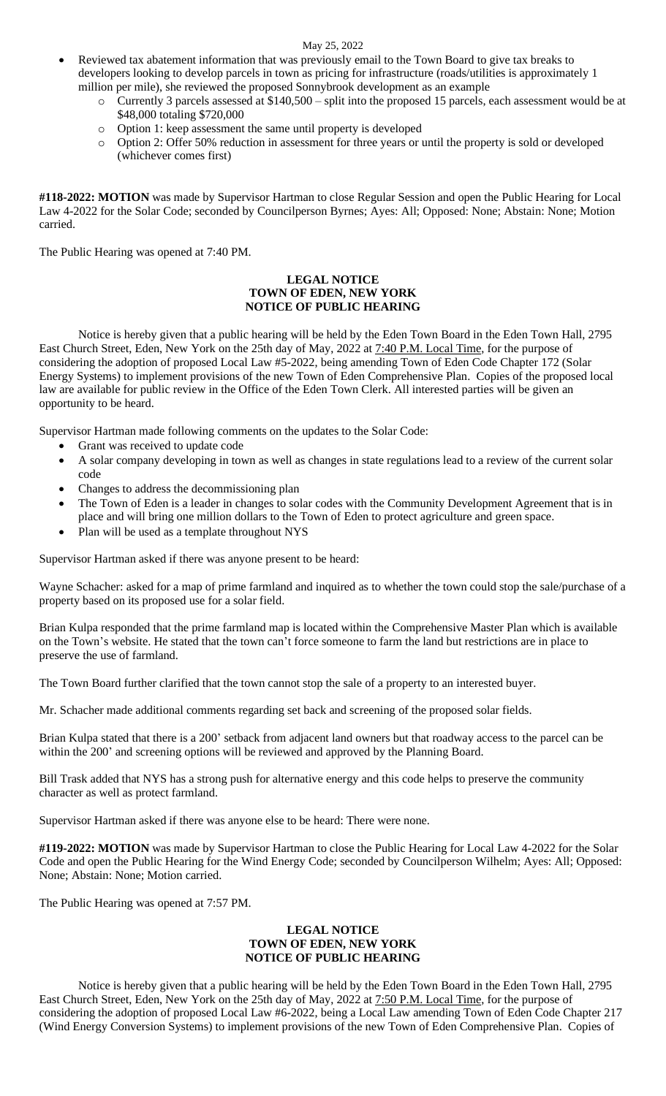### May 25, 2022

- Reviewed tax abatement information that was previously email to the Town Board to give tax breaks to developers looking to develop parcels in town as pricing for infrastructure (roads/utilities is approximately 1 million per mile), she reviewed the proposed Sonnybrook development as an example
	- o Currently 3 parcels assessed at \$140,500 split into the proposed 15 parcels, each assessment would be at \$48,000 totaling \$720,000
	- o Option 1: keep assessment the same until property is developed
	- o Option 2: Offer 50% reduction in assessment for three years or until the property is sold or developed (whichever comes first)

**#118-2022: MOTION** was made by Supervisor Hartman to close Regular Session and open the Public Hearing for Local Law 4-2022 for the Solar Code; seconded by Councilperson Byrnes; Ayes: All; Opposed: None; Abstain: None; Motion carried.

The Public Hearing was opened at 7:40 PM.

## **LEGAL NOTICE TOWN OF EDEN, NEW YORK NOTICE OF PUBLIC HEARING**

Notice is hereby given that a public hearing will be held by the Eden Town Board in the Eden Town Hall, 2795 East Church Street, Eden, New York on the 25th day of May, 2022 at 7:40 P.M. Local Time, for the purpose of considering the adoption of proposed Local Law #5-2022, being amending Town of Eden Code Chapter 172 (Solar Energy Systems) to implement provisions of the new Town of Eden Comprehensive Plan. Copies of the proposed local law are available for public review in the Office of the Eden Town Clerk. All interested parties will be given an opportunity to be heard.

Supervisor Hartman made following comments on the updates to the Solar Code:

- Grant was received to update code
- A solar company developing in town as well as changes in state regulations lead to a review of the current solar code
- Changes to address the decommissioning plan
- The Town of Eden is a leader in changes to solar codes with the Community Development Agreement that is in place and will bring one million dollars to the Town of Eden to protect agriculture and green space.
- Plan will be used as a template throughout NYS

Supervisor Hartman asked if there was anyone present to be heard:

Wayne Schacher: asked for a map of prime farmland and inquired as to whether the town could stop the sale/purchase of a property based on its proposed use for a solar field.

Brian Kulpa responded that the prime farmland map is located within the Comprehensive Master Plan which is available on the Town's website. He stated that the town can't force someone to farm the land but restrictions are in place to preserve the use of farmland.

The Town Board further clarified that the town cannot stop the sale of a property to an interested buyer.

Mr. Schacher made additional comments regarding set back and screening of the proposed solar fields.

Brian Kulpa stated that there is a 200' setback from adjacent land owners but that roadway access to the parcel can be within the 200' and screening options will be reviewed and approved by the Planning Board.

Bill Trask added that NYS has a strong push for alternative energy and this code helps to preserve the community character as well as protect farmland.

Supervisor Hartman asked if there was anyone else to be heard: There were none.

**#119-2022: MOTION** was made by Supervisor Hartman to close the Public Hearing for Local Law 4-2022 for the Solar Code and open the Public Hearing for the Wind Energy Code; seconded by Councilperson Wilhelm; Ayes: All; Opposed: None; Abstain: None; Motion carried.

The Public Hearing was opened at 7:57 PM.

## **LEGAL NOTICE TOWN OF EDEN, NEW YORK NOTICE OF PUBLIC HEARING**

Notice is hereby given that a public hearing will be held by the Eden Town Board in the Eden Town Hall, 2795 East Church Street, Eden, New York on the 25th day of May, 2022 at 7:50 P.M. Local Time, for the purpose of considering the adoption of proposed Local Law #6-2022, being a Local Law amending Town of Eden Code Chapter 217 (Wind Energy Conversion Systems) to implement provisions of the new Town of Eden Comprehensive Plan. Copies of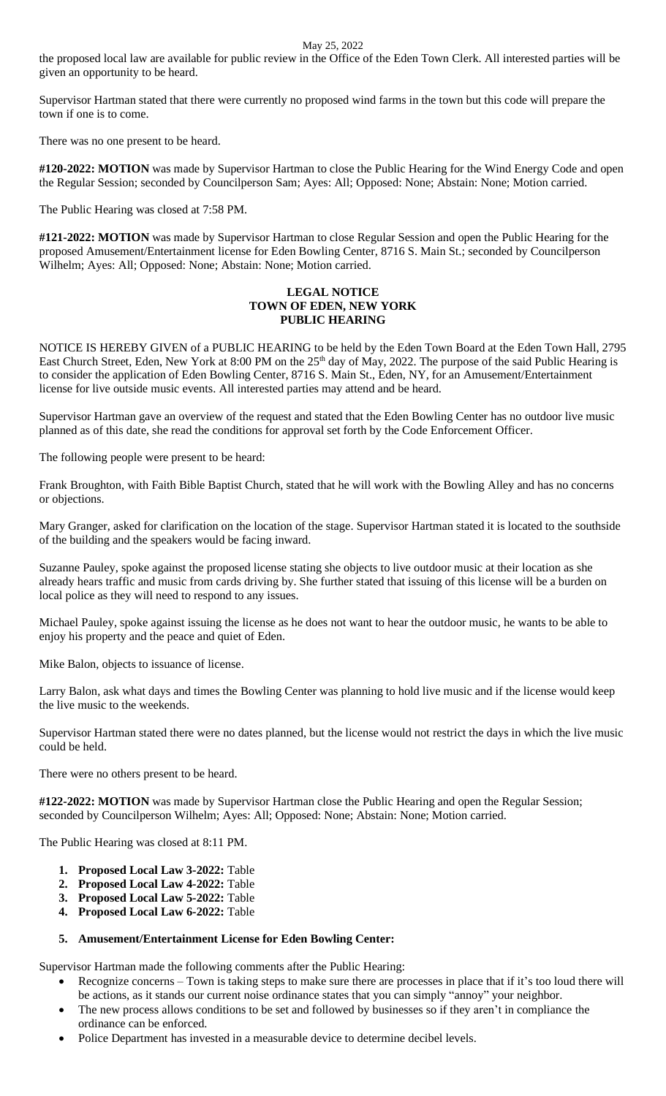May 25, 2022

the proposed local law are available for public review in the Office of the Eden Town Clerk. All interested parties will be given an opportunity to be heard.

Supervisor Hartman stated that there were currently no proposed wind farms in the town but this code will prepare the town if one is to come.

There was no one present to be heard.

**#120-2022: MOTION** was made by Supervisor Hartman to close the Public Hearing for the Wind Energy Code and open the Regular Session; seconded by Councilperson Sam; Ayes: All; Opposed: None; Abstain: None; Motion carried.

The Public Hearing was closed at 7:58 PM.

**#121-2022: MOTION** was made by Supervisor Hartman to close Regular Session and open the Public Hearing for the proposed Amusement/Entertainment license for Eden Bowling Center, 8716 S. Main St.; seconded by Councilperson Wilhelm; Ayes: All; Opposed: None; Abstain: None; Motion carried.

## **LEGAL NOTICE TOWN OF EDEN, NEW YORK PUBLIC HEARING**

NOTICE IS HEREBY GIVEN of a PUBLIC HEARING to be held by the Eden Town Board at the Eden Town Hall, 2795 East Church Street, Eden, New York at 8:00 PM on the 25<sup>th</sup> day of May, 2022. The purpose of the said Public Hearing is to consider the application of Eden Bowling Center, 8716 S. Main St., Eden, NY, for an Amusement/Entertainment license for live outside music events. All interested parties may attend and be heard.

Supervisor Hartman gave an overview of the request and stated that the Eden Bowling Center has no outdoor live music planned as of this date, she read the conditions for approval set forth by the Code Enforcement Officer.

The following people were present to be heard:

Frank Broughton, with Faith Bible Baptist Church, stated that he will work with the Bowling Alley and has no concerns or objections.

Mary Granger, asked for clarification on the location of the stage. Supervisor Hartman stated it is located to the southside of the building and the speakers would be facing inward.

Suzanne Pauley, spoke against the proposed license stating she objects to live outdoor music at their location as she already hears traffic and music from cards driving by. She further stated that issuing of this license will be a burden on local police as they will need to respond to any issues.

Michael Pauley, spoke against issuing the license as he does not want to hear the outdoor music, he wants to be able to enjoy his property and the peace and quiet of Eden.

Mike Balon, objects to issuance of license.

Larry Balon, ask what days and times the Bowling Center was planning to hold live music and if the license would keep the live music to the weekends.

Supervisor Hartman stated there were no dates planned, but the license would not restrict the days in which the live music could be held.

There were no others present to be heard.

**#122-2022: MOTION** was made by Supervisor Hartman close the Public Hearing and open the Regular Session; seconded by Councilperson Wilhelm; Ayes: All; Opposed: None; Abstain: None; Motion carried.

The Public Hearing was closed at 8:11 PM.

- **1. Proposed Local Law 3-2022:** Table
- **2. Proposed Local Law 4-2022:** Table
- **3. Proposed Local Law 5-2022:** Table
- **4. Proposed Local Law 6-2022:** Table

# **5. Amusement/Entertainment License for Eden Bowling Center:**

Supervisor Hartman made the following comments after the Public Hearing:

- Recognize concerns Town is taking steps to make sure there are processes in place that if it's too loud there will be actions, as it stands our current noise ordinance states that you can simply "annoy" your neighbor.
- The new process allows conditions to be set and followed by businesses so if they aren't in compliance the ordinance can be enforced.
- Police Department has invested in a measurable device to determine decibel levels.